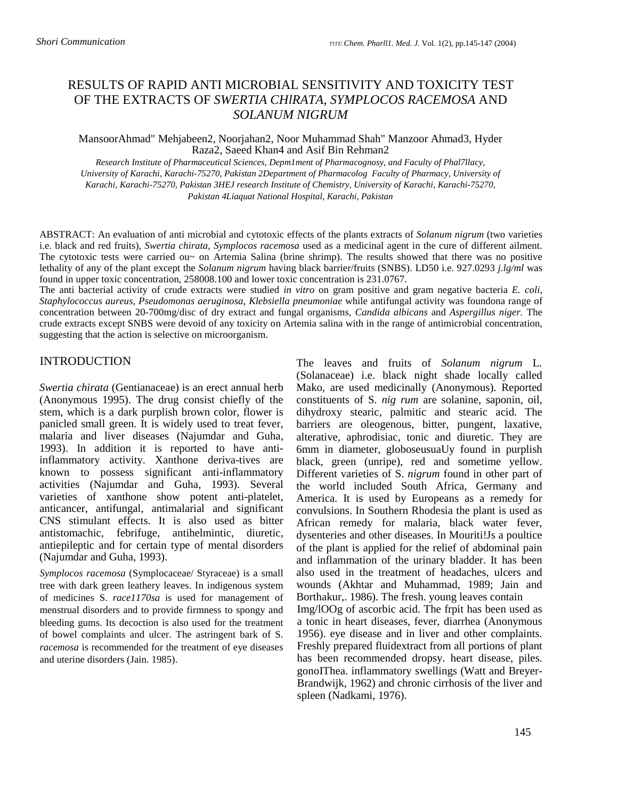## RESULTS OF RAPID ANTI MICROBIAL SENSITIVITY AND TOXICITY TEST OF THE EXTRACTS OF *SWERTIA CHlRATA, SYMPLOCOS RACEMOSA* AND *SOLANUM NIGRUM*

MansoorAhmad" Mehjabeen2, Noorjahan2, Noor Muhammad Shah" Manzoor Ahmad3, Hyder Raza2, Saeed Khan4 and Asif Bin Rehman2

*Research Institute of Pharmaceutical Sciences, Depm1ment of Pharmacognosy, and Faculty of Phal7llacy, University of Karachi, Karachi-75270, Pakistan 2Department of Pharmacolog Faculty of Pharmacy, University of Karachi, Karachi-75270, Pakistan 3HEJ research Institute of Chemistry, University of Karachi, Karachi-75270, Pakistan 4Liaquat National Hospital, Karachi, Pakistan* 

ABSTRACT: An evaluation of anti microbial and cytotoxic effects of the plants extracts of *Solanum nigrum* (two varieties i.e. black and red fruits), *Swertia chirata, Symplocos racemosa* used as a medicinal agent in the cure of different ailment. The cytotoxic tests were carried ou~ on Artemia Salina (brine shrimp). The results showed that there was no positive lethality of any of the plant except the *Solanum nigrum* having black barrier/fruits (SNBS). LD50 i.e. 927.0293 *j.lg/ml* was found in upper toxic concentration, 258008.100 and lower toxic concentration is 231.0767.

The anti bacterial activity of crude extracts were studied *in vitro* on gram positive and gram negative bacteria *E. coli, Staphylococcus aureus, Pseudomonas aeruginosa, Klebsiella pneumoniae* while antifungal activity was foundona range of concentration between 20-700mg/disc of dry extract and fungal organisms, *Candida albicans* and *Aspergillus niger.* The crude extracts except SNBS were devoid of any toxicity on Artemia salina with in the range of antimicrobial concentration, suggesting that the action is selective on microorganism.

## **INTRODUCTION**

*Swertia chirata* (Gentianaceae) is an erect annual herb (Anonymous 1995). The drug consist chiefly of the stem, which is a dark purplish brown color, flower is panicled small green. It is widely used to treat fever, malaria and liver diseases (Najumdar and Guha, 1993). In addition it is reported to have antiinflammatory activity. Xanthone deriva-tives are known to possess significant anti-inflammatory activities (Najumdar and Guha, 1993). Several varieties of xanthone show potent anti-platelet, anticancer, antifungal, antimalarial and significant CNS stimulant effects. It is also used as bitter antistomachic, febrifuge, antihelmintic, diuretic, antiepileptic and for certain type of mental disorders (Najumdar and Guha, 1993).

*Symplocos racemosa* (Symplocaceae/ Styraceae) is a small tree with dark green leathery leaves. In indigenous system of medicines S. *race1170sa* is used for management of menstrual disorders and to provide firmness to spongy and bleeding gums. Its decoction is also used for the treatment of bowel complaints and ulcer. The astringent bark of S. *racemosa* is recommended for the treatment of eye diseases and uterine disorders (Jain. 1985).

The leaves and fruits of *Solanum nigrum* L. (Solanaceae) i.e. black night shade locally called Mako, are used medicinally (Anonymous). Reported constituents of S. *nig rum* are solanine, saponin, oil, dihydroxy stearic, palmitic and stearic acid. The barriers are oleogenous, bitter, pungent, laxative, alterative, aphrodisiac, tonic and diuretic. They are 6mm in diameter, globoseusuaUy found in purplish black, green (unripe), red and sometime yellow. Different varieties of S. *nigrum* found in other part of the world included South Africa, Germany and America. It is used by Europeans as a remedy for convulsions. In Southern Rhodesia the plant is used as African remedy for malaria, black water fever, dysenteries and other diseases. In Mouriti!Js a poultice of the plant is applied for the relief of abdominal pain and inflammation of the urinary bladder. It has been also used in the treatment of headaches, ulcers and wounds (Akhtar and Muhammad, 1989; Jain and Borthakur,. 1986). The fresh. young leaves contain Img/lOOg of ascorbic acid. The frpit has been used as a tonic in heart diseases, fever, diarrhea (Anonymous 1956). eye disease and in liver and other complaints. Freshly prepared fluidextract from all portions of plant has been recommended dropsy. heart disease, piles. gonoIThea. inflammatory swellings (Watt and Breyer-Brandwijk, 1962) and chronic cirrhosis of the liver and spleen (Nadkami, 1976).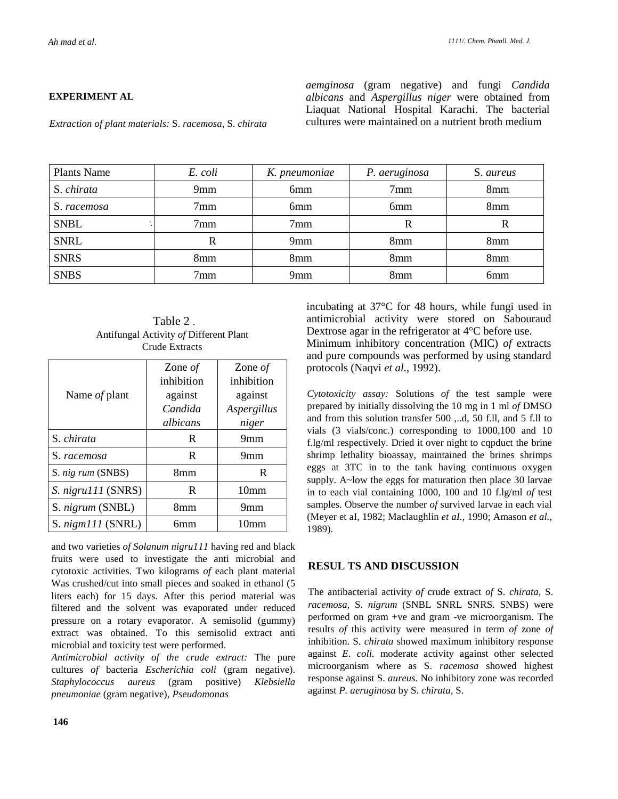## **EXPERIMENT AL**

*aemginosa* (gram negative) and fungi *Candida albicans* and *Aspergillus niger* were obtained from Liaquat National Hospital Karachi. The bacterial cultures were maintained on a nutrient broth medium

*Extraction of plant materials:* S. *racemosa,* S. *chirata* 

| <b>Plants Name</b> | E. coli         | K. pneumoniae   | P. aeruginosa   | S. aureus       |
|--------------------|-----------------|-----------------|-----------------|-----------------|
| S. chirata         | 9mm             | 6 <sub>mm</sub> | 7 <sub>mm</sub> | 8mm             |
| S. racemosa        | 7 <sub>mm</sub> | 6 <sub>mm</sub> | 6 <sub>mm</sub> | 8 <sub>mm</sub> |
| <b>SNBL</b>        | 7 <sub>mm</sub> | 7 <sub>mm</sub> | R               | R               |
| <b>SNRL</b>        | R               | 9mm             | 8 <sub>mm</sub> | 8mm             |
| <b>SNRS</b>        | 8mm             | 8 <sub>mm</sub> | 8 <sub>mm</sub> | 8 <sub>mm</sub> |
| <b>SNBS</b>        | 7 <sub>mm</sub> | 9 <sub>mm</sub> | 8 <sub>mm</sub> | 6 <sub>mm</sub> |

Table 2 . Antifungal Activity *of* Different Plant Crude Extracts

|                    | Zone $of$  | Zone $of$        |
|--------------------|------------|------------------|
|                    | inhibition | inhibition       |
| Name of plant      | against    | against          |
|                    | Candida    | Aspergillus      |
|                    | albicans   | niger            |
| S. chirata         | R          | 9 <sub>mm</sub>  |
| S. racemosa        | R          | 9 <sub>mm</sub>  |
| S. nig rum (SNBS)  | 8mm        | R                |
| S. nigru111 (SNRS) | R          | 10 <sub>mm</sub> |
| S. nigrum (SNBL)   | 8mm        | 9 <sub>mm</sub>  |
| S. nigm111 (SNRL)  | бmm        | 10mm             |

and two varieties *of Solanum nigru111* having red and black fruits were used to investigate the anti microbial and cytotoxic activities. Two kilograms *of* each plant material Was crushed/cut into small pieces and soaked in ethanol (5 liters each) for 15 days. After this period material was filtered and the solvent was evaporated under reduced pressure on a rotary evaporator. A semisolid (gummy) extract was obtained. To this semisolid extract anti microbial and toxicity test were performed.

*Antimicrobial activity of the crude extract:* The pure cultures *of* bacteria *Escherichia coli* (gram negative). *Staphylococcus aureus* (gram positive) *Klebsiella pneumoniae* (gram negative), *Pseudomonas* 

incubating at 37°C for 48 hours, while fungi used in antimicrobial activity were stored on Sabouraud Dextrose agar in the refrigerator at 4°C before use. Minimum inhibitory concentration (MIC) *of* extracts and pure compounds was performed by using standard protocols (Naqvi *et al.,* 1992).

*Cytotoxicity assay:* Solutions *of* the test sample were prepared by initially dissolving the 10 mg in 1 ml *of* DMSO and from this solution transfer 500 ,..d, 50 f.ll, and 5 f.ll to vials (3 vials/conc.) corresponding to 1000,100 and 10 f.lg/ml respectively. Dried it over night to cqpduct the brine shrimp lethality bioassay, maintained the brines shrimps eggs at 3TC in to the tank having continuous oxygen supply. A~low the eggs for maturation then place 30 larvae in to each vial containing 1000, 100 and 10 f.lg/ml *of* test samples. Observe the number *of* survived larvae in each vial (Meyer et aI, 1982; Maclaughlin *et aI.,* 1990; Amason *et al.,*  1989).

## **RESUL TS AND DISCUSSION**

The antibacterial activity *of* crude extract *of* S. *chirata,* S. *racemosa,* S. *nigrum* (SNBL SNRL SNRS. SNBS) were performed on gram +ve and gram -ve microorganism. The results *of* this activity were measured in term *of* zone *of*  inhibition. S. *chirata* showed maximum inhibitory response against *E. coli.* moderate activity against other selected microorganism where as S. *racemosa* showed highest response against S. *aureus.* No inhibitory zone was recorded against *P. aeruginosa* by S. *chirata,* S.